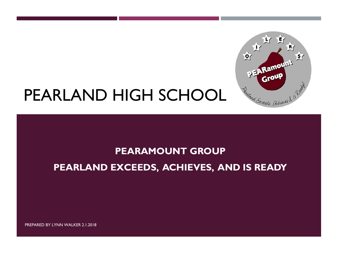

## PEARLAND HIGH SCHOOL

#### **PEARAMOUNT GROUP**

**PEARLAND EXCEEDS, ACHIEVES, AND IS READY**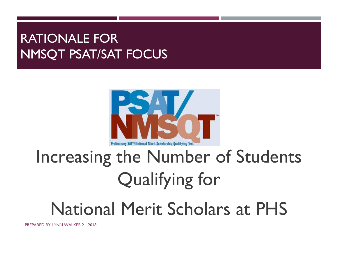### RATIONALE FOR NMSQT PSAT/SAT FOCUS



# Increasing the Number of Students Qualifying for

## National Merit Scholars at PHS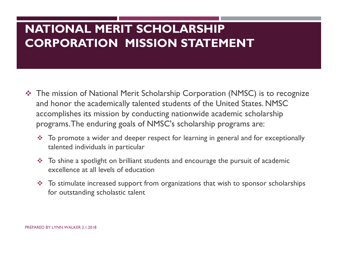#### **NATIONAL MERIT SCHOLARSHIP CORPORATION MISSION STATEMENT**

- The mission of National Merit Scholarship Corporation (NMSC) is to recognize and honor the academically talented students of the United States. NMSC accomplishes its mission by conducting nationwide academic scholarship programs. The enduring goals of NMSC's scholarship programs are:
	- \* To promote a wider and deeper respect for learning in general and for exceptionally talented individuals in particular
	- \* To shine a spotlight on brilliant students and encourage the pursuit of academic excellence at all levels of education
	- $\cdot$  To stimulate increased support from organizations that wish to sponsor scholarships for outstanding scholastic talent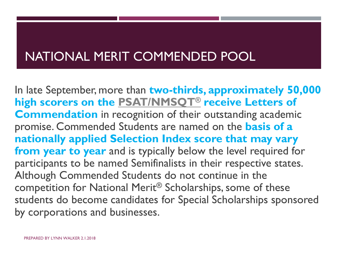#### NATIONAL MERIT COMMENDED POOL

In late September, more than **two-thirds, approximately 50,000 high scorers on the [PSAT/NMSQT](https://www.nationalmerit.org/s/1758/start.aspx?gid=2&pgid=61)® receive Letters of Commendation** in recognition of their outstanding academic promise. Commended Students are named on the **basis of a nationally applied Selection Index score that may vary from year to year** and is typically below the level required for participants to be named Semifinalists in their respective states. Although Commended Students do not continue in the competition for National Merit® Scholarships, some of these students do become candidates for Special Scholarships sponsored by corporations and businesses.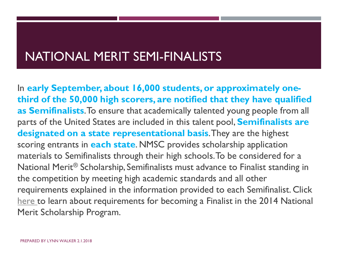#### NATIONAL MERIT SEMI-FINALISTS

In **early September, about 16,000 students, or approximately onethird of the 50,000 high scorers, are notified that they have qualified as Semifinalists**. To ensure that academically talented young people from all parts of the United States are included in this talent pool, **Semifinalists are designated on a state representational basis**. They are the highest scoring entrants in **each state**. NMSC provides scholarship application materials to Semifinalists through their high schools. To be considered for a National Merit® Scholarship, Semifinalists must advance to Finalist standing in the competition by meeting high academic standards and all other requirements explained in the information provided to each Semifinalist. Click [here](http://www.nationalmerit.org/Merit_R&I_Leaflet.pdf) to learn about requirements for becoming a Finalist in the 2014 National Merit Scholarship Program.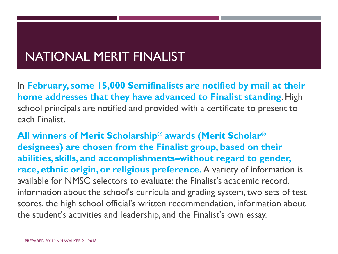#### NATIONAL MERIT FINALIST

In **February, some 15,000 Semifinalists are notified by mail at their home addresses that they have advanced to Finalist standing**. High school principals are notified and provided with a certificate to present to each Finalist.

**All winners of Merit Scholarship® awards (Merit Scholar® designees) are chosen from the Finalist group, based on their abilities, skills, and accomplishments–without regard to gender, race, ethnic origin, or religious preference.** A variety of information is available for NMSC selectors to evaluate: the Finalist's academic record, information about the school's curricula and grading system, two sets of test scores, the high school official's written recommendation, information about the student's activities and leadership, and the Finalist's own essay.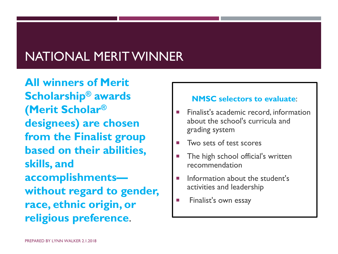### NATIONAL MERIT WINNER

**All winners of Merit Scholarship® awards (Merit Scholar® designees) are chosen from the Finalist group based on their abilities, skills, and accomplishments without regard to gender, race, ethnic origin, or religious preference**.

#### **NMSC selectors to evaluate**:

- Finalist's academic record, information about the school's curricula and grading system
- Two sets of test scores
- The high school official's written recommendation
- $\blacksquare$  Information about the student's activities and leadership
- **Finalist's own essay**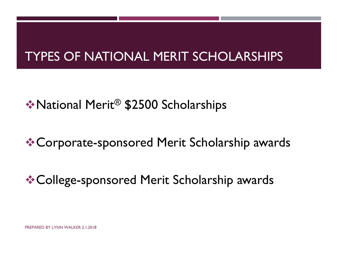#### TYPES OF NATIONAL MERIT SCHOLARSHIPS

**☆ National Merit<sup>®</sup> \$2500 Scholarships** 

Corporate-sponsored Merit Scholarship awards

College-sponsored Merit Scholarship awards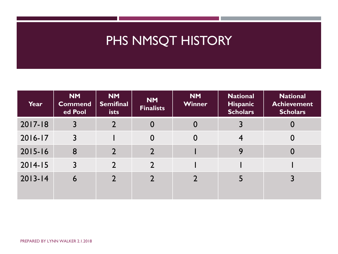#### PHS NMSQT HISTORY

| Year        | <b>NM</b><br><b>Commend</b><br>ed Pool | <b>NM</b><br><b>Semifinal</b><br>ists | <b>NM</b><br><b>Finalists</b> | <b>NM</b><br><b>Winner</b> | <b>National</b><br><b>Hispanic</b><br><b>Scholars</b> | <b>National</b><br><b>Achievement</b><br><b>Scholars</b> |
|-------------|----------------------------------------|---------------------------------------|-------------------------------|----------------------------|-------------------------------------------------------|----------------------------------------------------------|
| $2017 - 18$ | 3                                      | $\overline{2}$                        | 0                             | $\bf{0}$                   | $\overline{3}$                                        |                                                          |
| 2016-17     |                                        |                                       | $\bf{0}$                      | $\mathbf{0}$               | $\overline{4}$                                        | 0                                                        |
| $2015 - 16$ | 8                                      |                                       |                               |                            | 9                                                     | 0                                                        |
| $2014 - 15$ | 3                                      | $\mathcal{P}$                         | $\overline{2}$                |                            |                                                       |                                                          |
| $2013 - 14$ | 6                                      |                                       |                               |                            | 5                                                     |                                                          |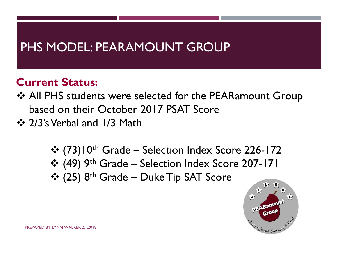#### PHS MODEL: PEARAMOUNT GROUP

#### **Current Status:**

- ❖ All PHS students were selected for the PEARamount Group based on their October 2017 PSAT Score
- ❖ 2/3's Verbal and 1/3 Math
	- ☆ (73)10<sup>th</sup> Grade Selection Index Score 226-172 ❖ (49) 9<sup>th</sup> Grade – Selection Index Score 207-171 ❖ (25) 8<sup>th</sup> Grade – Duke Tip SAT Score

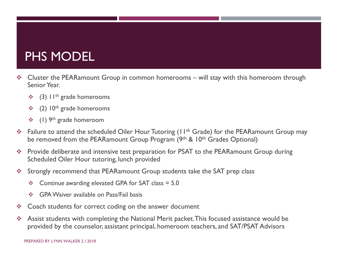#### PHS MODEL

- $\cdot$  Cluster the PEARamount Group in common homerooms will stay with this homeroom through Senior Year.
	- (3)  $11^{th}$  grade homerooms
	- $\div$  (2) 10<sup>th</sup> grade homerooms
	- $\div$  (1) 9<sup>th</sup> grade homeroom
- \* Failure to attend the scheduled Oiler Hour Tutoring (11<sup>th</sup> Grade) for the PEARamount Group may be removed from the PEARamount Group Program (9<sup>th</sup> & 10<sup>th</sup> Grades Optional)
- \* Provide deliberate and intensive test preparation for PSAT to the PEARamount Group during Scheduled Oiler Hour tutoring, lunch provided
- \* Strongly recommend that PEARamount Group students take the SAT prep class
	- $\div$  Continue awarding elevated GPA for SAT class = 5.0
	- GPA Waiver available on Pass/Fail basis
- ❖ Coach students for correct coding on the answer document
- ◆ Assist students with completing the National Merit packet. This focused assistance would be provided by the counselor, assistant principal, homeroom teachers, and SAT/PSAT Advisors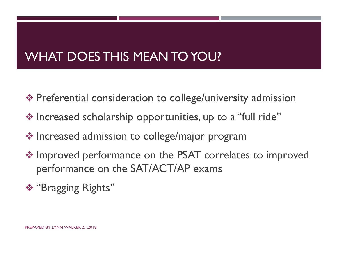### WHAT DOES THIS MEAN TO YOU?

- **Example 2 Findom Fernian verontal consideration to college/university admission**
- $\cdot$  Increased scholarship opportunities, up to a "full ride"
- ❖ Increased admission to college/major program
- ❖ Improved performance on the PSAT correlates to improved performance on the SAT/ACT/AP exams
- "Bragging Rights"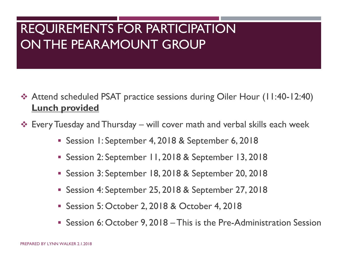### REQUIREMENTS FOR PARTICIPATION ON THE PEARAMOUNT GROUP

 Attend scheduled PSAT practice sessions during Oiler Hour (11:40-12:40) **Lunch provided**

**Every Tuesday and Thursday – will cover math and verbal skills each week** 

- Session 1: September 4, 2018 & September 6, 2018
- Session 2: September 11, 2018 & September 13, 2018
- Session 3: September 18, 2018 & September 20, 2018
- Session 4: September 25, 2018 & September 27, 2018
- Session 5: October 2, 2018 & October 4, 2018
- Session 6: October 9, 2018 –This is the Pre-Administration Session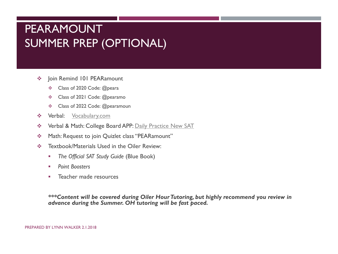#### PEARAMOUNT SUMMER PREP (OPTIONAL)

- ❖ | oin Remind 101 PEARamount
	- Class of 2020 Code: @peara
	- Class of 2021 Code: @pearamo
	- Class of 2022 Code: @pearamoun
- **❖** Verbal: [Vocabulary.com](https://www.vocabulary.com/)
- **Example 2 Servers 20 Years APP:** Daily Practice New SAT
- Math: Request to join Quizlet class "PEARamount"
- $\bullet$  Textbook/Materials Used in the Oiler Review:
	- *The Official SAT Study Guide* (Blue Book)
	- *Point Boosters*
	- **Teacher made resources**

*\*\*\*Content will be covered during Oiler Hour Tutoring, but highly recommend you review in advance during the Summer. OH tutoring will be fast paced.*